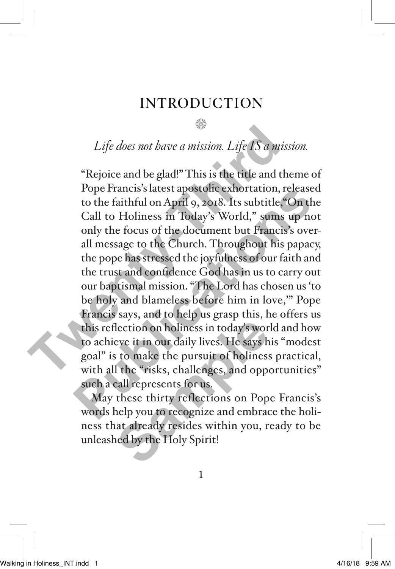### INTRODUCTION

# n *Life does not have a mission. Life IS a mission.*

"Rejoice and be glad!" This is the title and theme of Pope Francis's latest apostolic exhortation, released to the faithful on April 9, 2018. Its subtitle,"On the Call to Holiness in Today's World," sums up not only the focus of the document but Francis's overall message to the Church. Throughout his papacy, the pope has stressed the joyfulness of our faith and the trust and confidence God has in us to carry out our baptismal mission. "The Lord has chosen us 'to be holy and blameless before him in love,'" Pope Francis says, and to help us grasp this, he offers us this reflection on holiness in today's world and how to achieve it in our daily lives. He says his "modest goal" is to make the pursuit of holiness practical, with all the "risks, challenges, and opportunities" such a call represents for us. Life does not have a mission. Life *IS* a mission of the *TS* a mission of the pope Francis's latest apostolic exhortation, reto the faithful on April 9, 2018. Its subtitle, "Call to Holiness in Today's World," sums us onl Pope Francis's latest apostone exhortation, released<br>to the faithful on April 9, 2018. Its subtitle, "On the<br>Call to Holiness in Today's World," sums up not<br>only the focus of the document but Francis's over-<br>all message to extion on holiness in today's wor<br>eve it in our daily lives. He says h<br>s to make the pursuit of holiness<br>of the "risks, challenges, and oppicall represents for us.<br>these thirty reflections on Pop<br>nelp you to recognize and

May these thirty reflections on Pope Francis's words help you to recognize and embrace the holiness that already resides within you, ready to be unleashed by the Holy Spirit!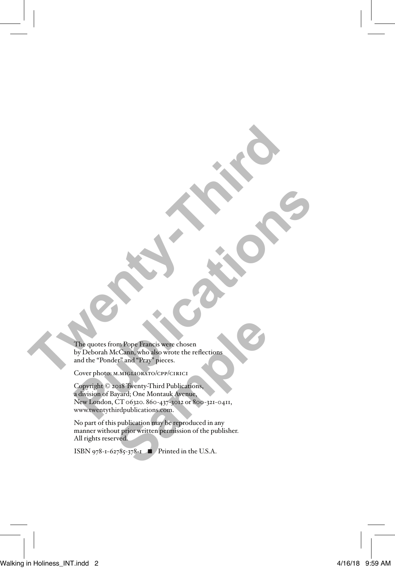The quotes from Pope Francis were chosen by Deborah McCann, who also wrote the reflections and the "Ponder" and "Pray" pieces. **The quotes from Pope Francis were chosen**<br>and the "Ponder" and "Pary Pieces.<br>Cover photos M.Microbiolev Victor Chosen<br>Cover photos M.Microbiolev Victoric

Cover photo: M.MIGLIORATO/CPP/CIRICI

Copyright © 2018 Twenty-Third Publications, a division of Bayard; One Montauk Avenue, New London, CT 06320. 860-437-3012 or 800-321-0411, www.twentythirdpublications.com. **Publication**<br> **Publication**<br> **Publication**<br> **Publication**<br> **Publication**<br> **Publication**<br> **Publication**<br> **Publication**<br> **Publication**<br> **Publication**<br> **Copyright** © 2018 Wenty-Third Publications<br>
New London, CT 06320. 860-4 m Pope Francis were chosen<br>
tcCann, who also wore the reflections<br>
er<sup>3</sup> and "Pray" pieces.<br>
M.MIGLIORATO/CPP/CIRICI<br>
or8 Twenty-Third Publications,<br>
ayard; One Montauk Ayenue,<br>
CT 06320. 860-437-3012 or 800-321-0411,<br>
ird

No part of this publication may be reproduced in any manner without prior written permission of the publisher. All rights reserved.

ISBN 978-1-62785-378-1 ◾ Printed in the U.S.A.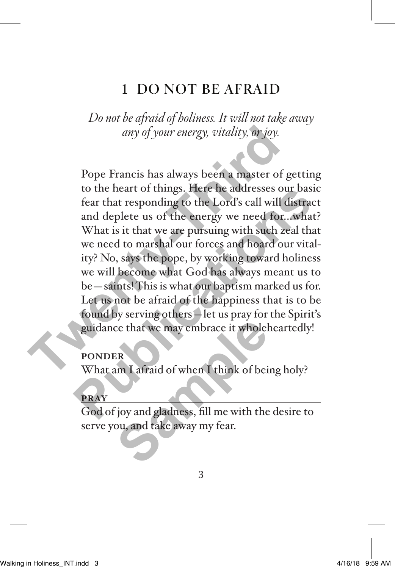# 1 DO NOT BE AFRAID

*Do not be afraid of holiness. It will not take away any of your energy, vitality, or joy.* 

Pope Francis has always been a master of getting to the heart of things. Here he addresses our basic fear that responding to the Lord's call will distract and deplete us of the energy we need for...what? What is it that we are pursuing with such zeal that we need to marshal our forces and hoard our vitality? No, says the pope, by working toward holiness we will become what God has always meant us to be—saints! This is what our baptism marked us for. Let us not be afraid of the happiness that is to be found by serving others—let us pray for the Spirit's guidance that we may embrace it wholeheartedly! any of your energy, vitality, or joy.<br>
The Premission of the heart of things. Here he addresses our fear that responding to the Lord's call will di<br>
and deplete us of the energy we need for...<br>
What is it that we are pursu to the heart of things. Here he addresses our basic<br>fear that responding to the Lord's call will distract<br>and deplete us of the energy we need for...what?<br>What is it that we are pursuing with such zeal that<br>we need to mars

### **PONDER**

What am I afraid of when I think of being holy?

#### **PRAY**

God of joy and gladness, fill me with the desire to serve you, and take away my fear. ER<br>
ER<br>
Im I afraid of when I think of bei<br>
ijoy and gladness, fill me with the<br>
ou, and take away my fear.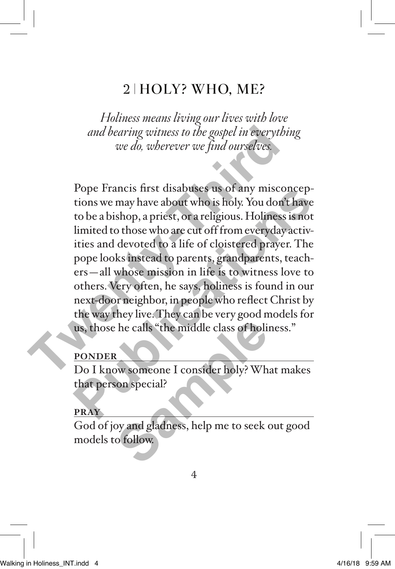# 2 HOLY? WHO, ME?

*Holiness means living our lives with love and bearing witness to the gospel in everything we do, wherever we find ourselves.* 

Pope Francis first disabuses us of any misconceptions we may have about who is holy. You don't have to be a bishop, a priest, or a religious. Holiness is not limited to those who are cut off from everyday activities and devoted to a life of cloistered prayer. The pope looks instead to parents, grandparents, teachers—all whose mission in life is to witness love to others. Very often, he says, holiness is found in our next-door neighbor, in people who reflect Christ by the way they live. They can be very good models for us, those he calls "the middle class of holiness." and bearing witness to the gospel in everythin<br>we do, wherever we find ourselves.<br>Pope Francis first disabuses us of any miscon<br>tions we may have about who is holy. You don't<br>to be a bishop, a priest, or a religious. Holin Prope Francis first disabuses us of any misconceptions we may have about who is holy. You don't have to be a bishop, a priest, or a religious. Holiness is not limited to those who are cut off from everyday activities and d

### **PONDER**

Do I know someone I consider holy? What makes that person special? the calls "the middle class of holistical<br>
Number of consider holy? Where<br>
Samples is the proof of the section of the section of the section<br>
of follow.

#### **PRAY**

God of joy and gladness, help me to seek out good models to follow.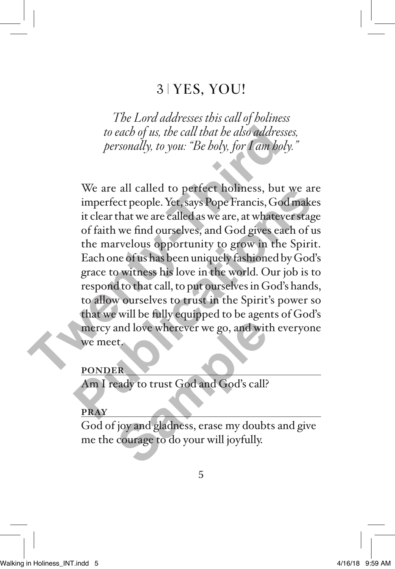### 3 YES, YOU!

*The Lord addresses this call of holiness to each of us, the call that he also addresses, personally, to you: "Be holy, for I am holy."*

We are all called to perfect holiness, but we are imperfect people. Yet, says Pope Francis, God makes it clear that we are called as we are, at whatever stage of faith we find ourselves, and God gives each of us the marvelous opportunity to grow in the Spirit. Each one of us has been uniquely fashioned by God's grace to witness his love in the world. Our job is to respond to that call, to put ourselves in God's hands, to allow ourselves to trust in the Spirit's power so that we will be fully equipped to be agents of God's mercy and love wherever we go, and with everyone we meet. to each of us, the call that he also addresse<br>personally, to you: "Be holy, for I am holy.<br>Personally, to you: "Be holy, for I am holy.<br>We are all called to perfect holiness, but v<br>imperfect people. Yet, says Pope Francis, We are all called to perfect holiness, but we are<br>imperfect people. Yet, says Pope Francis, God makes<br>it clear that we are called as we are, at whatever stage<br>of faith we find ourselves, and God gives each of us<br>the marvel and love wherever we go, and with<br>the same of the same of the same of the same of the same of the same of the courage to do your will joyfully.

#### **PONDER**

Am I ready to trust God and God's call?

#### **PRAY**

God of joy and gladness, erase my doubts and give me the courage to do your will joyfully.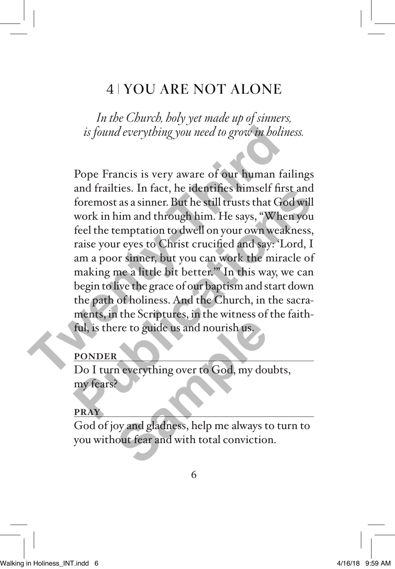# 4 YOU ARE NOT ALONE

*In the Church, holy yet made up of sinners, is found everything you need to grow in holiness.* 

Pope Francis is very aware of our human failings and frailties. In fact, he identifies himself first and foremost as a sinner. But he still trusts that God will work in him and through him. He says, "When you feel the temptation to dwell on your own weakness, raise your eyes to Christ crucified and say: 'Lord, I am a poor sinner, but you can work the miracle of making me a little bit better.'" In this way, we can begin to live the grace of our baptism and start down the path of holiness. And the Church, in the sacraments, in the Scriptures, in the witness of the faithful, is there to guide us and nourish us. is found everything you need to grow in holine<br>
Pope Francis is very aware of our human fail<br>
and frailties. In fact, he identifies himself first<br>
foremost as a sinner. But he still trusts that God<br>
work in him and through and fraities. In fact, he identifies misself first and<br>foremost as a sinner. But he still trusts that God will<br>work in him and through him. He says, "When you<br>feel the temptation to dwell on your own weakness,<br>raise your e

### **PONDER**

Do I turn everything over to God, my doubts, my fears? Free to guide us and nourish us.<br> **Same everything over to God**, my dout<br>
Sample over the God, my dout<br>
the same of the same of the same of the same of the same of the same of the same of the same of the same of the<br>
Sampl

#### **PRAY**

God of joy and gladness, help me always to turn to you without fear and with total conviction.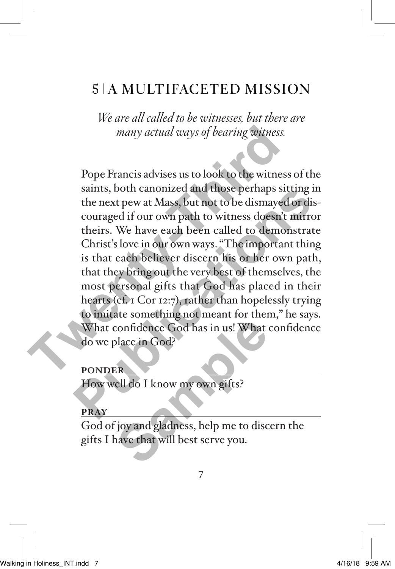# 5 A MULTIFACETED MISSION

*We are all called to be witnesses, but there are many actual ways of bearing witness.*

Pope Francis advises us to look to the witness of the saints, both canonized and those perhaps sitting in the next pew at Mass, but not to be dismayed or discouraged if our own path to witness doesn't mirror theirs. We have each been called to demonstrate Christ's love in our own ways. "The important thing is that each believer discern his or her own path, that they bring out the very best of themselves, the most personal gifts that God has placed in their hearts (cf. 1 Cor 12:7), rather than hopelessly trying to imitate something not meant for them," he says. What confidence God has in us! What confidence do we place in God? many actual ways of bearing witness.<br>
Pope Francis advises us to look to the witness<br>
saints, both canonized and those perhaps sitt<br>
the next pew at Mass, but not to be dismayed<br>
couraged if our own path to witness doesn't sants, both canonized and those pernaps sitting in<br>the next pew at Mass, but not to be dismayed or dis-<br>couraged if our own path to witness doesn't mirror<br>theirs. We have each been called to demonstrate<br>Christ's love in ou confidence God has in us! What confidence God has in us! What colder in God?<br>ER<br>ell do I know my own gifts?<br>Joy and gladness, help me to discusse that will best serve you.

#### **PONDER**

How well do I know my own gifts?

#### **PRAY**

God of joy and gladness, help me to discern the gifts I have that will best serve you.